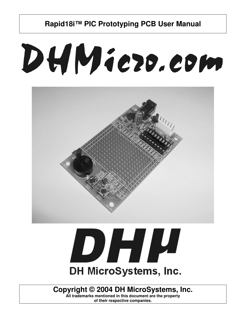# DHMiezo.com





### **Copyright © 2004 DH MicroSystems, Inc.**

**All trademarks mentioned in this document are the property of their respective companies.**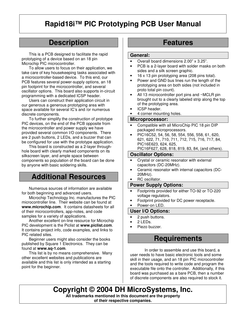# **Description**

This is a PCB designed to facilitate the rapid prototyping of a device based on an 18 pin Microchip PIC microcontroller.

To allow users to focus on their application, we take care of key housekeeping tasks associated with a microcontroller-based device. To this end, our PCB features several power-supply options, an 18 pin footprint for the microcontroller, and several oscillator options. This board also supports in-circuit programming with a dedicated ICSP header.

Users can construct their application circuit in our generous a generous prototyping area with space available for several IC's and /or numerous discrete components.

To further simplify the construction of prototype PIC devices, on the end of the PCB opposite from the microcontroller and power supply we have provided several common I/O components. There are 2 push buttons, 2 LEDs, and a buzzer that can be configured for use with the prototype application.

This board is constructed as a 2-layer throughhole board with clearly marked components on its silkscreen layer, and ample space between components so population of the board can be done by anyone with basic soldering skills.

### **Additional Resources**

Numerous sources of information are available for both beginning and advanced users.

Microchip Technology Inc. manufactures the PIC microcontroller line. Their website can be found at **www.microchip.com**. It contains datasheets for all of their microcontrollers, app-notes, and code samples for a variety of applications.

Another excellent on-line resource for Microchip PIC development is the Piclist at **www.piclist.com**. It contains project info, code examples, and links to PIC related sites.

Beginner users might also consider the books published by Square 1 Electronics. They can be found at **www.sq-1.com**.

This list is by no means comprehensive. Many other excellent websites and publications are available and this list is only intended as a starting point for the beginner.

# **Features**

### **General:**

- Overall board dimensions 2.00" x 3.25".
- PCB is a 2-layer board with solder masks on both sides and a silk screen graphic.
- 16 x 13 pin prototyping area (208 pins total).
- Power and GND bus lines run the length of the prototyping area on both sides (not included in proto total pin count).
- All 13 microcontroller port pins and ~MCLR pin brought out to a clearly labeled strip along the top of the prototyping area.
- ICSP header.
- 4 corner mounting holes.

### **Microprocessor:**

- Compatible with all MicroChip PIC 18 pin DIP packaged microprocessors.
- PIC16C52, 54, 56, 58, 554, 556, 558, 61, 620, 621, 622, 71, 710, 711, 712, 715, 716, 717, 84, PIC16E623, 624, 625,

PIC16F627, 628, 818, 819, 83, 84, (and others).

### **Oscillator Options:**

- Crystal or ceramic resonator with external capacitors (DC-20MHz).
- Ceramic resonator with internal capacitors (DC-20MHz).
- RC oscillator.

### **Power Supply Options:**

- Footprints provided for either TO-92 or TO-220 voltage regulators.
- Footprint provided for DC power receptacle.

### Power-on LED.

**User I/O Options:**

### • 2 push buttons.

- 2 LEDs.
- Piezo buzzer.

### **Requirements**

In order to assemble and use this board, a user needs to have basic electronic tools and some skill in their usage, and an 18 pin PIC microcontroller and the tools required to write code and program the executable file onto the controller. Additionally, if this board was purchased as a bare PCB, then a number of discrete components are also required to stock it.

**Copyright © 2004 DH MicroSystems, Inc. All trademarks mentioned in this document are the property of their respective companies.**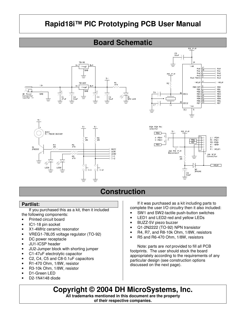# **Board Schematic**









# **Construction**

### **Partlist:**

If you purchased this as a kit, then it included the following components:

- Printed circuit board
- IC1-18 pin socket
- X1-4MHz ceramic resonator
- VREG1-78L05 voltage regulator (TO-92)
- DC power receptacle
- JU1-ICSP header
- JU2-Jumper block with shorting jumper
- C1-47uF electrolytic capacitor
- C2, C4, C5 and C8-0.1uF capacitors
- R1-470 Ohm, 1/8W, resistor
- R3-10k Ohm, 1/8W, resistor
- D1-Green LED
- D2-1N4148 diode

If it was purchased as a kit including parts to complete the user I/O circuitry then it also included:

- SW1 and SW2-tactile push-button switches
- LED1 and LED2-red and yellow LEDs
- BUZZ-5V piezo buzzer
- Q1-2N2222 (TO-92) NPN transistor
- R4, R7, and R8-10k Ohm, 1/8W, resistors
- R5 and R6-470 Ohm, 1/8W, resistors

Note: parts are *not* provided to fill all PCB footprints. The user should stock the board appropriately according to the requirements of any particular design (see construction options discussed on the next page).

**Copyright © 2004 DH MicroSystems, Inc. All trademarks mentioned in this document are the property of their respective companies.**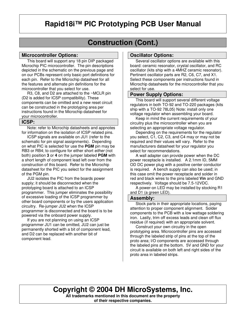# **Construction (Cont.)**

### **Microcontroller Options:**

This board will support any 18 pin DIP packaged Microchip PIC microcontroller. The pin descriptions depicted in the schematic on the previous page and on our PCBs represent only basic port definitions for each pin. Refer to the Microchip datasheet for all the features and alternate pin definitions for the microcontroller that you select for use.

 R3, C8, and D2 are attached to the ~MCLR pin (D2 is added for ICSP compatibility). These components can be omitted and a new reset circuit can be constructed in the prototyping area per instructions found in the Microchip datasheet for your microcontroller.

### **ICSP:**

 Note: refer to Microchip datasheets and appnotes for information on the isolation of ICSP related pins.

 ICSP signals are available on JU1 (refer to the schematic for pin signal assignments). Depending on what PIC is selected for use the **PGM** pin may be RB3 or RB4; to configure for either short *either* (not both) position **3** or **4** on the jumper labeled **PGM** with a short length of component lead left over from the construction of this board. Refer to the Microchip datasheet for the PIC you select for the assignment of the PGM pin.

 JU2 isolates the PIC from the boards power supply; it should be disconnected when the prototyping board is attached to an ICSP programmer. This jumper eliminates the possibility of excessive loading of the ICSP programmer by other board components or by the users application circuitry. Re-jumper JU2 when the ICSP programmer is disconnected and the board is to be powered via the onboard power supply.

 If you are not planning on using an ICSP programmer JU1 can be omitted, JU2 can just be permanently shorted with a bit of component lead, and D2 can be replaced with another bit of component lead.

### **Oscillator Options:**

 Several oscillator options are available with this board: ceramic resonator, crystal oscillator, and RC oscillator (kits ship with a 4MHZ ceramic resonator). Pertinent oscillator parts are R2, C6, C7, and X1. Select these components per instructions found in Microchip datasheets for the microcontroller that you select for use.

### **Power Supply Options:**

 This board will support several different voltage regulators in both TO-92 and TO-220 packages (kits ship with a TO-92 78L05) Note: install only one voltage regulator when assembling your board.

 Keep in mind the current requirements of your circuitry plus the microcontroller when you are selecting an appropriate voltage regulator.

 Depending on the requirements for the regulator you select, C1, C2, C3, and C4 may or may not be required and their values will vary. Refer to the manufacturers datasheet for your regulator you select for recommendations.

 A wall adapter can provide power when the DC power receptacle is installed. A 2.1mm ID, 5MM OD DC power plug with a positive center conductor is required. A bench supply can also be used; in this case omit the power receptacle and solder in red and black wires to the pins labeled **Vin** and GND respectively. Voltage should be 7.5-12VDC.

 A power-on LED may be installed by stocking R1 and D1 (a green LED).

### **Assembly:**

 Stock parts in their appropriate locations, paying attention to proper component alignment. Solder components to the PCB with a low wattage soldering iron. Lastly, trim off excess leads and clean off flux residue (if required) with an appropriate solvent.

 Construct your own circuitry in the open prototyping area. Microcontroller pins are accessed through the labeled strip of pins at the top of the proto area; I/O components are accessed through the labeled pins at the bottom. 5V and GND for your circuit is available on both left and right sides of the proto area in labeled strips.

# **Copyright © 2004 DH MicroSystems, Inc.**

**All trademarks mentioned in this document are the property of their respective companies.**